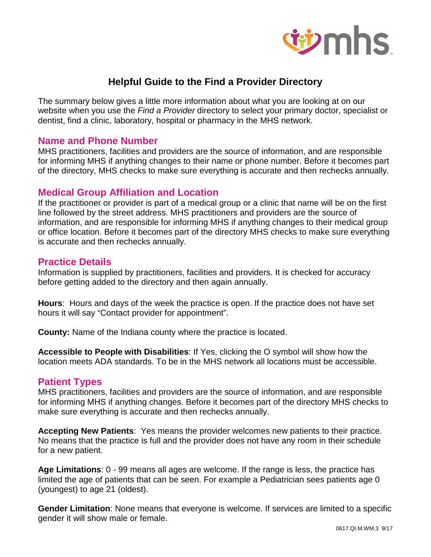

# **Helpful Guide to the Find a Provider Directory**

The summary below gives a little more information about what you are looking at on our website when you use the *Find a Provider* directory to select your primary doctor, specialist or dentist, find a clinic, laboratory, hospital or pharmacy in the MHS network.

#### **Name and Phone Number**

MHS practitioners, facilities and providers are the source of information, and are responsible for informing MHS if anything changes to their name or phone number. Before it becomes part of the directory, MHS checks to make sure everything is accurate and then rechecks annually.

# **Medical Group Affiliation and Location**

If the practitioner or provider is part of a medical group or a clinic that name will be on the first line followed by the street address. MHS practitioners and providers are the source of information, and are responsible for informing MHS if anything changes to their medical group or office location. Before it becomes part of the directory MHS checks to make sure everything is accurate and then rechecks annually.

# **Practice Details**

Information is supplied by practitioners, facilities and providers. It is checked for accuracy before getting added to the directory and then again annually.

**Hours**: Hours and days of the week the practice is open. If the practice does not have set hours it will say "Contact provider for appointment".

**County:** Name of the Indiana county where the practice is located.

**Accessible to People with Disabilities**: If Yes, clicking the O symbol will show how the location meets ADA standards. To be in the MHS network all locations must be accessible.

# **Patient Types**

MHS practitioners, facilities and providers are the source of information, and are responsible for informing MHS if anything changes. Before it becomes part of the directory MHS checks to make sure everything is accurate and then rechecks annually.

**Accepting New Patients**: Yes means the provider welcomes new patients to their practice. No means that the practice is full and the provider does not have any room in their schedule for a new patient.

**Age Limitations**: 0 - 99 means all ages are welcome. If the range is less, the practice has limited the age of patients that can be seen. For example a Pediatrician sees patients age 0 (youngest) to age 21 (oldest).

**Gender Limitation**: None means that everyone is welcome. If services are limited to a specific gender it will show male or female.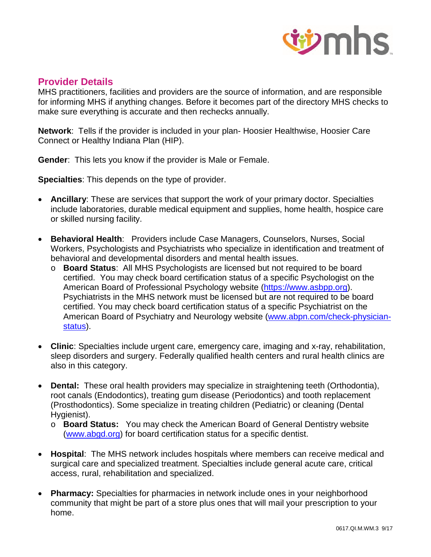

# **Provider Details**

MHS practitioners, facilities and providers are the source of information, and are responsible for informing MHS if anything changes. Before it becomes part of the directory MHS checks to make sure everything is accurate and then rechecks annually.

**Network**: Tells if the provider is included in your plan- Hoosier Healthwise, Hoosier Care Connect or Healthy Indiana Plan (HIP).

**Gender**: This lets you know if the provider is Male or Female.

**Specialties**: This depends on the type of provider.

- **Ancillary**: These are services that support the work of your primary doctor. Specialties include laboratories, durable medical equipment and supplies, home health, hospice care or skilled nursing facility.
- **Behavioral Health**: Providers include Case Managers, Counselors, Nurses, Social Workers, Psychologists and Psychiatrists who specialize in identification and treatment of behavioral and developmental disorders and mental health issues.
	- o **Board Status**: All MHS Psychologists are licensed but not required to be board certified. You may check board certification status of a specific Psychologist on the American Board of Professional Psychology website (https://www.asbpp.org). Psychiatrists in the MHS network must be licensed but are not required to be board certified. You may check board certification status of a specific Psychiatrist on the American Board of Psychiatry and Neurology website (www.abpn.com/check-physicianstatus).
- **Clinic**: Specialties include urgent care, emergency care, imaging and x-ray, rehabilitation, sleep disorders and surgery. Federally qualified health centers and rural health clinics are also in this category.
- **Dental:** These oral health providers may specialize in straightening teeth (Orthodontia), root canals (Endodontics), treating gum disease (Periodontics) and tooth replacement (Prosthodontics). Some specialize in treating children (Pediatric) or cleaning (Dental Hygienist).
	- o **Board Status:** You may check the American Board of General Dentistry website (www.abgd.org) for board certification status for a specific dentist.
- **Hospital**: The MHS network includes hospitals where members can receive medical and surgical care and specialized treatment. Specialties include general acute care, critical access, rural, rehabilitation and specialized.
- **Pharmacy:** Specialties for pharmacies in network include ones in your neighborhood community that might be part of a store plus ones that will mail your prescription to your home.